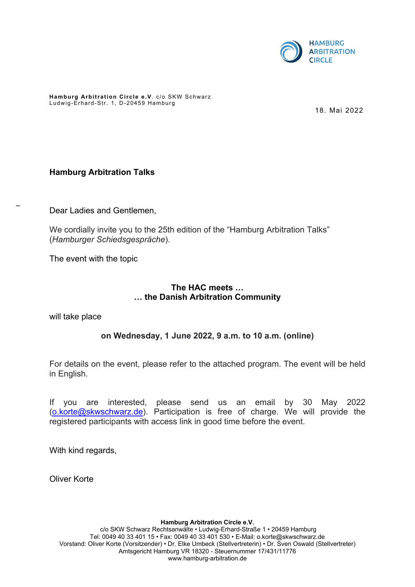

**Hamburg Arbitration Circle e.V**. c/o SKW Schwarz Ludwig-Erhard-Str. 1, D-20459 Hamburg

18. Mai 2022

## **Hamburg Arbitration Talks**

Dear Ladies and Gentlemen,

We cordially invite you to the 25th edition of the "Hamburg Arbitration Talks" (*Hamburger Schiedsgespräche*).

The event with the topic

## **The HAC meets … … the Danish Arbitration Community**

will take place

–

# **on Wednesday, 1 June 2022, 9 a.m. to 10 a.m. (online)**

For details on the event, please refer to the attached program. The event will be held in English.

If you are interested, please send us an email by 30 May 2022 ([o.korte@skwschwarz.de](mailto:o.korte@skwschwarz.de)). Participation is free of charge. We will provide the registered participants with access link in good time before the event.

With kind regards,

Oliver Korte

**Hamburg Arbitration Circle e.V.**